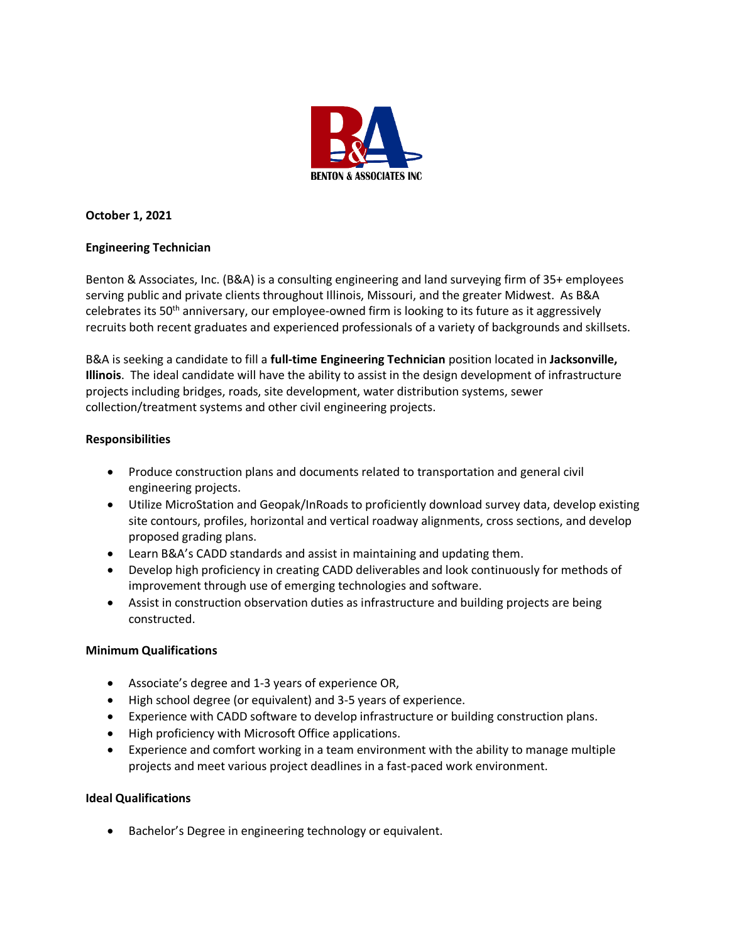

# **October 1, 2021**

# **Engineering Technician**

Benton & Associates, Inc. (B&A) is a consulting engineering and land surveying firm of 35+ employees serving public and private clients throughout Illinois, Missouri, and the greater Midwest. As B&A celebrates its 50<sup>th</sup> anniversary, our employee-owned firm is looking to its future as it aggressively recruits both recent graduates and experienced professionals of a variety of backgrounds and skillsets.

B&A is seeking a candidate to fill a **full-time Engineering Technician** position located in **Jacksonville, Illinois**. The ideal candidate will have the ability to assist in the design development of infrastructure projects including bridges, roads, site development, water distribution systems, sewer collection/treatment systems and other civil engineering projects.

# **Responsibilities**

- Produce construction plans and documents related to transportation and general civil engineering projects.
- Utilize MicroStation and Geopak/InRoads to proficiently download survey data, develop existing site contours, profiles, horizontal and vertical roadway alignments, cross sections, and develop proposed grading plans.
- Learn B&A's CADD standards and assist in maintaining and updating them.
- Develop high proficiency in creating CADD deliverables and look continuously for methods of improvement through use of emerging technologies and software.
- Assist in construction observation duties as infrastructure and building projects are being constructed.

## **Minimum Qualifications**

- Associate's degree and 1-3 years of experience OR,
- High school degree (or equivalent) and 3-5 years of experience.
- Experience with CADD software to develop infrastructure or building construction plans.
- High proficiency with Microsoft Office applications.
- Experience and comfort working in a team environment with the ability to manage multiple projects and meet various project deadlines in a fast-paced work environment.

## **Ideal Qualifications**

• Bachelor's Degree in engineering technology or equivalent.